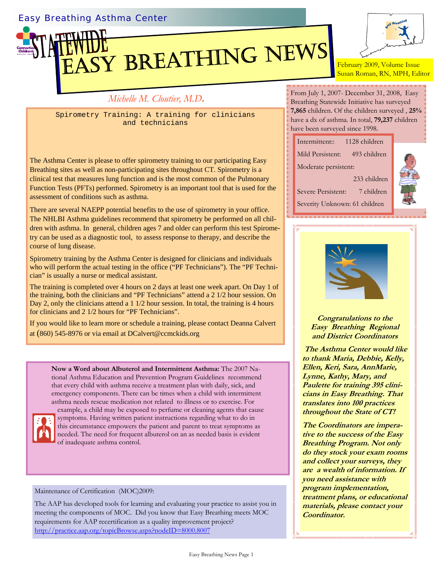## Easy Breathing Asthma Center



## *Michelle M. Cloutier, M.D***.**

Spirometry Training: A training for clinicians and technicians

The Asthma Center is please to offer spirometry training to our participating Easy Breathing sites as well as non-participating sites throughout CT. Spirometry is a clinical test that measures lung function and is the most common of the Pulmonary Function Tests (PFTs) performed. Spirometry is an important tool that is used for the assessment of conditions such as asthma.

There are several NAEPP potential benefits to the use of spirometry in your office. The NHLBI Asthma guidelines recommend that spirometry be performed on all children with asthma. In general, children ages 7 and older can perform this test Spirometry can be used as a diagnostic tool, to assess response to therapy, and describe the course of lung disease.

Spirometry training by the Asthma Center is designed for clinicians and individuals who will perform the actual testing in the office ("PF Technicians"). The "PF Technician" is usually a nurse or medical assistant.

The training is completed over 4 hours on 2 days at least one week apart. On Day 1 of the training, both the clinicians and "PF Technicians" attend a 2 1/2 hour session. On Day 2, only the clinicians attend a 1 1/2 hour session. In total, the training is 4 hours for clinicians and 2 1/2 hours for "PF Technicians".

If you would like to learn more or schedule a training, please contact Deanna Calvert at (860) 545-8976 or via email at DCalvert@ccmckids.org

**Now a Word about Albuterol and Intermittent Asthma:** The 2007 National Asthma Education and Prevention Program Guidelines recommend that every child with asthma receive a treatment plan with daily, sick, and emergency components. There can be times when a child with intermittent asthma needs rescue medication not related to illness or to exercise. For



example, a child may be exposed to perfume or cleaning agents that cause symptoms. Having written patient instructions regarding what to do in this circumstance empowers the patient and parent to treat symptoms as needed. The need for frequent albuterol on an as needed basis is evident of inadequate asthma control.

## Maintenance of Certification (MOC)2009:

The AAP has developed tools for learning and evaluating your practice to assist you in meeting the components of MOC. Did you know that Easy Breathing meets MOC requirements for AAP recertification as a quality improvement project? http://practice.aap.org/topicBrowse.aspx?nodeID=8000.8007



February 2009, Volume Issue Susan Roman, RN, MPH, Editor

From July 1, 2007- December 31, 2008, Easy Breathing Statewide Initiative has surveyed **7,865** children. Of the children surveyed , **25%** have a dx of asthma. In total, **79,237** children have been surveyed since 1998.

| 1128 children<br>Intermittent::  |  |
|----------------------------------|--|
| Mild Persistent:<br>493 children |  |
| Moderate persistent:             |  |
| 233 children                     |  |
| Severe Persistent:<br>7 children |  |
| Severity Unknown: 61 children    |  |





**Congratulations to the Easy Breathing Regional and District Coordinators** 

 **The Asthma Center would like to thank Maria, Debbie, Kelly, Ellen, Keri, Sara, AnnMarie, Lynne, Kathy, Mary, and Paulette for training 395 clinicians in Easy Breathing. That translates into 100 practices throughout the State of CT!** 

**The Coordinators are imperative to the success of the Easy Breathing Program. Not only do they stock your exam rooms and collect your surveys, they are a wealth of information. If you need assistance with program implementation, treatment plans, or educational materials, please contact your Coordinator.**